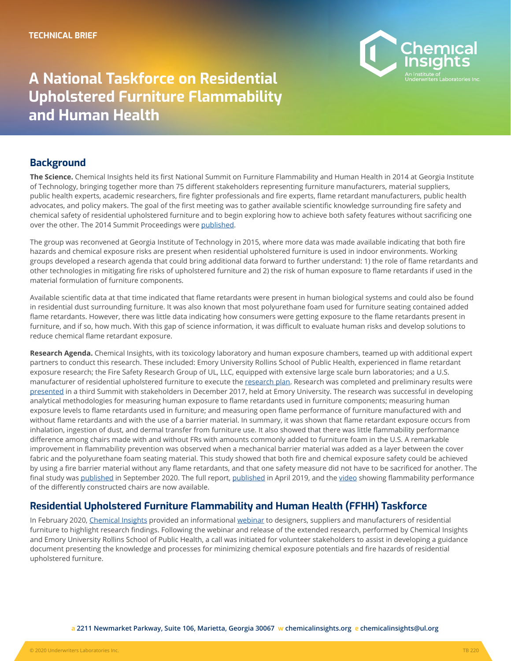

# **A National Taskforce on Residential Upholstered Furniture Flammability and Human Health**

#### **Background**

**The Science.** Chemical Insights held its first National Summit on Furniture Flammability and Human Health in 2014 at Georgia Institute of Technology, bringing together more than 75 different stakeholders representing furniture manufacturers, material suppliers, public health experts, academic researchers, fire fighter professionals and fire experts, flame retardant manufacturers, public health advocates, and policy makers. The goal of the first meeting was to gather available scientific knowledge surrounding fire safety and chemical safety of residential upholstered furniture and to begin exploring how to achieve both safety features without sacrificing one over the other. The 2014 Summit Proceedings were [published](https://chemicalinsights.org/wp-content/uploads/2017/06/Doc-4-Proceedings-of-the-Furniture-Flammability-and-Human-Health-Summit-held-May-20-22-2014.pdf).

The group was reconvened at Georgia Institute of Technology in 2015, where more data was made available indicating that both fire hazards and chemical exposure risks are present when residential upholstered furniture is used in indoor environments. Working groups developed a research agenda that could bring additional data forward to further understand: 1) the role of flame retardants and other technologies in mitigating fire risks of upholstered furniture and 2) the risk of human exposure to flame retardants if used in the material formulation of furniture components.

Available scientific data at that time indicated that flame retardants were present in human biological systems and could also be found in residential dust surrounding furniture. It was also known that most polyurethane foam used for furniture seating contained added flame retardants. However, there was little data indicating how consumers were getting exposure to the flame retardants present in furniture, and if so, how much. With this gap of science information, it was difficult to evaluate human risks and develop solutions to reduce chemical flame retardant exposure.

**Research Agenda.** Chemical Insights, with its toxicology laboratory and human exposure chambers, teamed up with additional expert partners to conduct this research. These included: Emory University Rollins School of Public Health, experienced in flame retardant exposure research; the Fire Safety Research Group of UL, LLC, equipped with extensive large scale burn laboratories; and a U.S. manufacturer of residential upholstered furniture to execute the [research plan.](https://chemicalinsights.org//wp-content/uploads/2019/02/FurnitureFlame_Brief.pdf) Research was completed and preliminary results were [presented](https://chemicalinsights.org/wp-content/uploads/2019/02/2017-FF-Summit-Proceedings.pdf) in a third Summit with stakeholders in December 2017, held at Emory University. The research was successful in developing analytical methodologies for measuring human exposure to flame retardants used in furniture components; measuring human exposure levels to flame retardants used in furniture; and measuring open flame performance of furniture manufactured with and without flame retardants and with the use of a barrier material. In summary, it was shown that flame retardant exposure occurs from inhalation, ingestion of dust, and dermal transfer from furniture use. It also showed that there was little flammability performance difference among chairs made with and without FRs with amounts commonly added to furniture foam in the U.S. A remarkable improvement in flammability prevention was observed when a mechanical barrier material was added as a layer between the cover fabric and the polyurethane foam seating material. This study showed that both fire and chemical exposure safety could be achieved by using a fire barrier material without any flame retardants, and that one safety measure did not have to be sacrificed for another. The final study was [published](https://chemicalinsights.org/wp-content/uploads/INTERFLAM-2019-FURNITURE-FLAMMABILITYChemical-exposure-and-flammability-risks-ofupholstered-furniture.pdf) in September 2020. The full report, [published](https://chemicalinsights.org/wp-content/uploads/2019/04/Human-Health-in-the-Built-Environment_FINAL.pdf) in April 2019, and the [video](https://www.youtube.com/watch?v=Tz9AcajFjUs&list=PLVxn85_ikhGQuvYeYFeJir7yd3wGs_FtT&index=1&t=0s) showing flammability performance of the differently constructed chairs are now available.

## **Residential Upholstered Furniture Flammability and Human Health (FFHH) Taskforce**

In February 2020, [Chemical Insights](http://www.chemicalinsights.org) provided an informational [webinar](https://youtu.be/9zXJUQGs3LQ) to designers, suppliers and manufacturers of residential furniture to highlight research findings. Following the webinar and release of the extended research, performed by Chemical Insights and Emory University Rollins School of Public Health, a call was initiated for volunteer stakeholders to assist in developing a guidance document presenting the knowledge and processes for minimizing chemical exposure potentials and fire hazards of residential upholstered furniture.